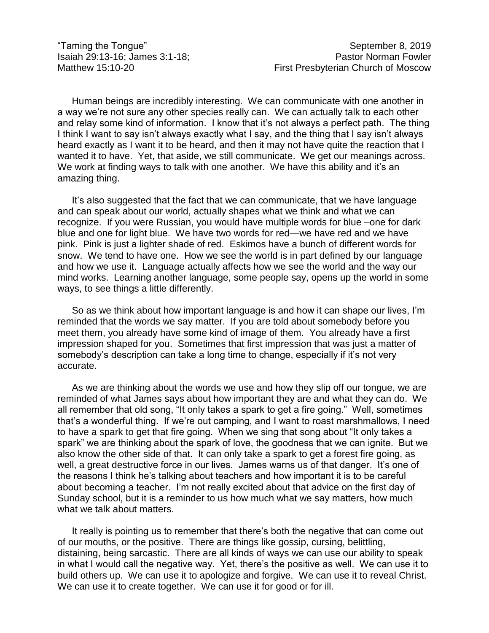Human beings are incredibly interesting. We can communicate with one another in a way we're not sure any other species really can. We can actually talk to each other and relay some kind of information. I know that it's not always a perfect path. The thing I think I want to say isn't always exactly what I say, and the thing that I say isn't always heard exactly as I want it to be heard, and then it may not have quite the reaction that I wanted it to have. Yet, that aside, we still communicate. We get our meanings across. We work at finding ways to talk with one another. We have this ability and it's an amazing thing.

It's also suggested that the fact that we can communicate, that we have language and can speak about our world, actually shapes what we think and what we can recognize. If you were Russian, you would have multiple words for blue –one for dark blue and one for light blue. We have two words for red—we have red and we have pink. Pink is just a lighter shade of red. Eskimos have a bunch of different words for snow. We tend to have one. How we see the world is in part defined by our language and how we use it. Language actually affects how we see the world and the way our mind works. Learning another language, some people say, opens up the world in some ways, to see things a little differently.

So as we think about how important language is and how it can shape our lives, I'm reminded that the words we say matter. If you are told about somebody before you meet them, you already have some kind of image of them. You already have a first impression shaped for you. Sometimes that first impression that was just a matter of somebody's description can take a long time to change, especially if it's not very accurate.

As we are thinking about the words we use and how they slip off our tongue, we are reminded of what James says about how important they are and what they can do. We all remember that old song, "It only takes a spark to get a fire going." Well, sometimes that's a wonderful thing. If we're out camping, and I want to roast marshmallows, I need to have a spark to get that fire going. When we sing that song about "It only takes a spark" we are thinking about the spark of love, the goodness that we can ignite. But we also know the other side of that. It can only take a spark to get a forest fire going, as well, a great destructive force in our lives. James warns us of that danger. It's one of the reasons I think he's talking about teachers and how important it is to be careful about becoming a teacher. I'm not really excited about that advice on the first day of Sunday school, but it is a reminder to us how much what we say matters, how much what we talk about matters.

It really is pointing us to remember that there's both the negative that can come out of our mouths, or the positive. There are things like gossip, cursing, belittling, distaining, being sarcastic. There are all kinds of ways we can use our ability to speak in what I would call the negative way. Yet, there's the positive as well. We can use it to build others up. We can use it to apologize and forgive. We can use it to reveal Christ. We can use it to create together. We can use it for good or for ill.